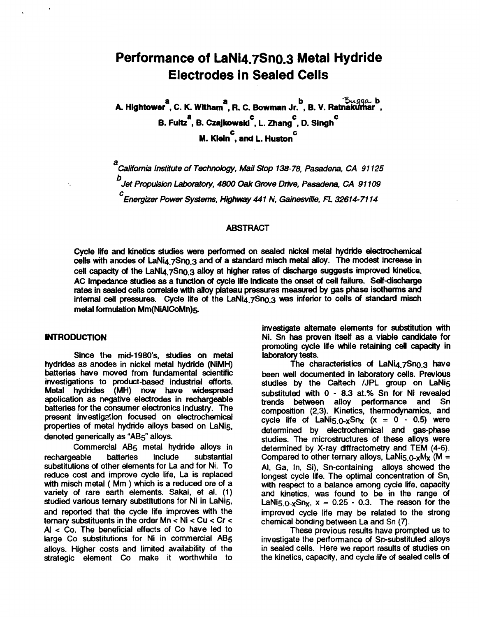# **Performance of LaNi4.7Sn0.3 Metal Hydride Electrodes in Sealed Cells**

**a a ab A. Hightower** , **C. K. Witham** , **R. C. Bowman Jr.b, B. V. RatnakgXlar** , **B. Fultz** , **8. Czajkowski** , **L. Zhang** , *0.* **Singh a C C C M. Klein** , **and L. Huston'**  *C* 

a<br>California Institute of Technology, Mail Stop 138-78, Pasadena, CA 91125 *b Jet Pmpukion Labotatoty,* 4800 *Oak Grove Drive, Pasadena, CA 91 109*   $^{\circ}$ Energizer Power Systems, Highway 441 N, Gainesville, FL 32614-7114

#### **ABSTRACT**

**Cycle life and kinetics studies were performed on sealed nickel metal hydride electrochemical**  cells **with anodes of LaNi4.7Sn0.3 and** *of* **a standard misch metal alloy. The modest increase in cell** *capacity of* **the LaNi4.7Sn0.3 alloy at higher rates of discharge suggests improved kinetics. AC Impedance studies as a function** *of* **cycle life indie the** *omel of* **cell failure. Selfdischarge rates in sealed cells correlate with alloy plateau pressures measured by** *gas* **phase isotherms** and internal cell pressures. Cycle life of the LaNia 7Sn0.3 was inferior to cells of standard misch **metal formulation Mm(NiAICoMn)5** 

#### **INTRODUCTION**

**Since the mid-l980's, studies on metal hydrides as anodes in nickel metal hydride (NiMH) batteries have moved from fundamental scientific investigations to product-based industrial efforts. Metal hydrides (MH) now have widespread application as negative electrodes in rechargeable batteries for the consumer electronics industry. The present investigs?!ion focused on electrochemical properties of metal hydride alloys based on LaNi5, denoted generically as "AB5" alloys.** 

**Commercial AB5 metal hydride alloys in**  rechargeable batteries include substantial **substitutions of other elements for La and for Ni. To reduce cost and improve cycle life,** La **is replaced with misch metal** ( **Mm** ) **which is a reduced ore of a**  variety of rare earth elements. Sakai, et al. (1) **studied various ternary substitutions for Ni in LaNi5,**  and **reported that the cycle life improves with the ternary substituents in the order Mn** < **Ni** < **Cu** < **Cr** < AI < **Co. The beneficial effects** *of* **Co have led to hrge Co substitutions for Ni in commercial** AB5 **alloys. Higher costs and limited availability of the strategic element Co make it worthwhile to** 

**investigate alternate elements for substitution with Ni. Sn has proven itself as a viable candidate for**  promoting cycle life while retaining cell capacity in laboratory tests.

**laboratory tests. The characteristics** *of* **LaNi4.7Sno.3 have**  studies by the Caltech /JPL group on LaNi5 **substituted with** *0* - **8.3 at.% Sn for Ni revealed**  trends between alloy performance and Sn **composition (2,3). Kinetics, thermodynamics, and**   $\frac{c}{c}$  **cycle life of**  $\text{LaNis}_{0-x}\text{Sn}_{x}$  **(x = 0 - 0.5) were determined by electrochemical and gas-phase studies. The microstructures of these alloys were determined by X-ray diffractometry and TEM (4-6).**  Compared to other ternary alloys,  $LaNi<sub>5.0-x</sub>M<sub>x</sub>$  (M = **AI, Ga, In, Si), Sn-containing alloys howed the longest cycle life. The optimal concentration** *of* **Sn,**  and kinetics, was found to be in the range of  $LaNis_0$ <sub>x</sub>Sn<sub>x</sub>,  $x = 0.25 - 0.3$ . The reason for the **improved cycle life may be related to the strong chemical bonding between** La **and Sn (7).** 

**These previous results have prompted us to**  in sealed cells. Here we report results of studies on **the kinetics, capacity, and cycle life** *of* **sealed cells** *of*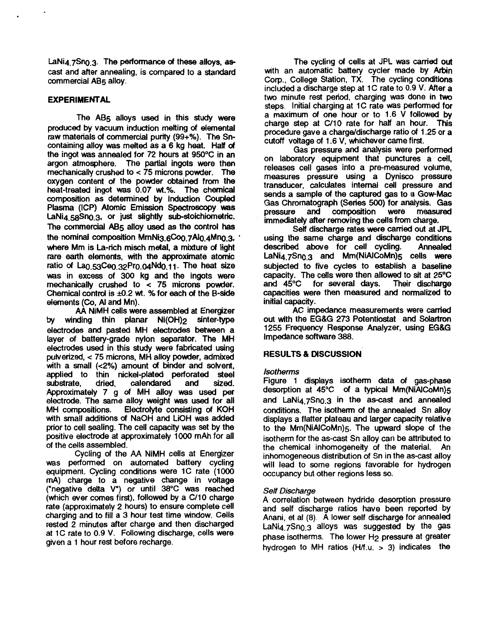**LaNi4.7Sn0.3. The performance** *of* **these alloys, as***cast* **and after annealing, is compared to a standard commercial A65 alloy.** 

## **EXPERIMENTAL**

**The A65 alloys used in this** study **were produced by vacuum induction melting** *of* **elemental raw materials** *of* **commercial purity (99+%). The Sncontaining alloy was melted as a 6 kg heat. Half** *of*  **the ingot was annealed for 72 hours at 950°C in an argon atmosphere. The partial ingots were then mechanically crushed to** < **75 microns powder. The oxygen content** *of* **the powder obtained from the heat-treated ingot ws 0.07 wt.%. The chemical cornposition as determined by Induction Coupled Plasma (ICP) Atomic Emission Spectroscopy was**  LaNi<sub>4</sub> 58Sn<sub>0</sub> 3, or just slightly sub-stoichiometric. **The commercial AB5 alloy used as the control has the nominal composition MmNig.6Cog.7Ai0.4Mn0.3,** ' **where Mm is La-rich misch metal, a mixture** *of* **light rare earth elements, with the approximate atomic**  ratio of La<sub>0.53</sub>Ce<sub>0.32</sub>Pr<sub>0.04</sub>Nd<sub>0.11</sub>. The heat size **HBS in excess of** 300 **kg and the ingots were mechanically crushed to** < **75 microns powder. Chemical Control is d.2 wt.** *Yo* **for each** *of* **the 6-side elements** *(Co,* **AI and Mn).** 

**AA NiMH cells were assembled at Energizer**  by winding thin planar Ni(OH)<sub>2</sub> sinter-type **electrodes and pasted MH electrodes between a layer** *of* **battery-grade nylon separator. The MH electrodes used in this** study **were fabricated using pulverized,** < **75 microns, MH alloy powder, admixed with a small (~2%) amount** *of* **binder and solvent, applied to thin nickel-plated perforated steel**  calendared **Approximately 7 g** *of* **MH alloy was used per etectrode. The same alloy weight was** used **for all MH compositions. Electrolyte consisting** *of* **KOH with small additions** *of* **NaOH and LiOH was added prior to cell sealing. The cell capacity was set by the positive dectrode at approximatety lo00 mAh for all of the cells assembled.** 

**Cycling** *of* **the AA NiMH cells at Energizer**  was performed on automated battery cycling **equipment. Cycling conditions were 1C rate (1** *OOO*  mA) charge to a negative change in voltage **("negative delta V") or until 38°C was reached (which ever comes first), followed by a C/10 charge**  charging and to fill a 3 hour test time window. Cells **rested 2 minutes after charge and then discharged at 1C rate to 0.9 V. Following discharge, cells were given a 1 hour rest before recharge.** 

**The cycling** *of* **cells at JPL was carried** *out*  **with an automatic battery cycler made by Arbin Corp., College Station, TX. The cycling conditions included a discharge step at 1C rate to 0.9 V. After a two minute rest period, charging was done in two steps. Initial charging at 1C rate was performed for a maximum** *of* **one hour or to 1.6 V followed by charge** *step* **at C/10 rate for hatf an hour. This procedure gave a charge/discharge ratio** *of* **1.25 or a cutoff voltage of 1.6 V, whichever came first.** 

**Gas pressure and analysis were perfoned on laboratory equipment that punctures a cell, releases cell** *gases* **into a pre-measured volume,**  transducer, calculates internal cell pressure and **sends a sample** *of* **the captured** *gas* **to a Gow-Mac Gas Chromatograph (Series** *500)* **for analysis.** *Gas*  **immediately after removing the cells from charge.** 

Self discharge rates were carried out at **JPL using the same charge and discharge conditions**  described above for cell cycling. **LaNi4.7Sn0.3 and Mm(NiAICoMn)5 cells were subjected to five cycles to establish a baseline capacity. The cells were then allowed to** *sit* **at 25°C**  and 45°C for several days. **capacities were then measured and normalized to initial capacity.** 

**AC impedance measurements were carried**  *out* **with the EG&G 273 Potentiostat and Sdartron 1255 Frequency Response Analyzer, using EG&G Impedance software** *388.* 

# **RESULTS** & **DISCUSSION**

## *Isotherms*

**Figure 1 displays isotherm data** *of* **gas-phase desorption at 45°C** *of* **a typical Mm(NiAlCoMn)5**  and LaNi<sub>4.7</sub>Sn<sub>0.3</sub> in the as-cast and annealed **conditions. The isotherm** *of* **the annealed Sn alloy displays a flatter plateau and larger capacity relative to the Mm(NiAICoMn)5. The upward** *slope* **of the isotherm for the as-cast Sn alloy can be attributed to the chemical inhomogeneity of the material. An inhomogeneous distribution of Sn in the as-cast alloy will lead to some regions favorable for hydrogen occupancy but other regions less** *so.* 

## *Setf Discharge*

**A correlation between hydride desorption pressure and self discharge ratios have been reported by Anani, et ai (8). A lower self discharge for annealed LaNi4.7Sn0.3 alloys was suggested by the gas phase isotherms.** The lower H<sub>2</sub> pressure at greater **hydrogen to MH ratios (H/f.u.** > **3) indicates the**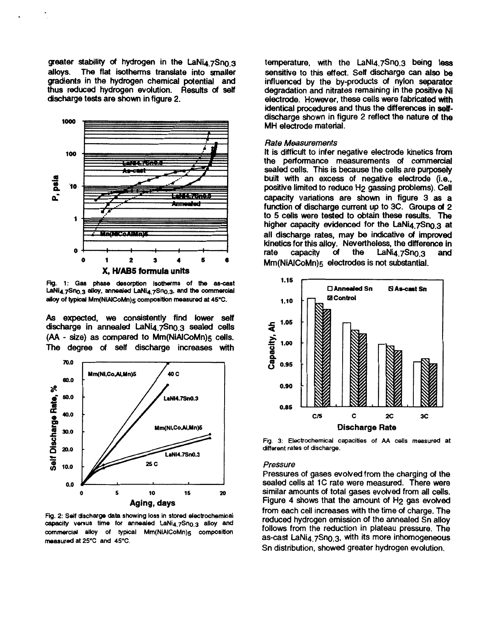greater stability of hydrogen in the LaNi4.7Sn<sub>0.3</sub><br>alloys. The flat isotherms translate into smaller The flat isotherms translate into smaller **gradients in the hydrogen chemical potential and thus reduced hydrogen evolution. Results** *of* **self discharge tests are** shown **in figure 2.** 



Fig. 1: Gas phase desorption isotherms of the as-cast LaNi<sub>4.7</sub>Sn<sub>0.3</sub> alloy, annealed LaNi<sub>4.7</sub>Sn<sub>0.3</sub>, and the commercial *alloy of* typical **Mm(NiAIcoMn)5 composition measured** *at* **45°C.** 

**As expected,** we **consistently find lower** setf discharge in annealed LaNi<sub>4</sub> 7Sn<sub>0.3</sub> sealed cells **(AA** - **size) as compared to Mm(NiAICoMn)5 cells. The degree** *of* **self discharge increases with** 



Fig. 2: Self discharge data showing loss in stored electrochemical capacity versus time for annealed LaNi<sub>4.7</sub>Sn<sub>0.3</sub> alloy and commercial alloy of typical Mm(NiAiCoMn)<sub>5</sub> composition **measured at 25°C and 45°C.** 

**temperature, with the LaNi4.7Sn0.3 being less sensitive to this effect. Self discharge can also be influenced by the by-products of nylon separator degradation and nitrates remaining in the positive Ni electrode. However, these cells were fabricated with identical procedures and thus the differences in** *self***discharge shown in figure 2 reflect the nature** *of* **the MH electrode material.** 

#### *Rate Measurements*

**It is difficult to infer negative electrode kinetics from the performance measurements** *of* **commercial sealed cells. This is because the cells are purposely**  built with an excess of negative electrode (i.e., **positive limited to reduce H2 gassing problems). Cell capacity variations are** shown **in figure 3** as **a function** *of* **discharge current up to 3C. Groups** *of* **2 to 5 cells were tested to obtain these results.** The higher capacity evidenced for the LaNi4 7Sn0.3 at **all discharge rates, may be indicative** *of* **improved kinetics for this alloy. Nevertheless, the difference in rate capacity of the LaNi4 7Sn0.3 and rate capacity** *of* **the LaNiq.7Sno.g and Mm(NiAICoMn)5 electrodes is not substantial.** 



**Fig. 3: Electrochemical capacities of AA cells measured at different rates of discharge.** 

#### *Pressure*

**Pressures of gases evolved from the charging** *of* **the sealed cells at 1C rate were measured. There were similar amounts of total gases evolved from all cells.**  Figure 4 shows that the amount of H<sub>2</sub> gas evolved **from each cell increases with the time of charge. The reduced hydrogen emission of the annealed Sn alloy follows from the reduction in plateau pressure. The as-cast LaNi4.7Sn0.3, with its more inhomogeneous Sn distribution, showed greater hydrogen evolution.**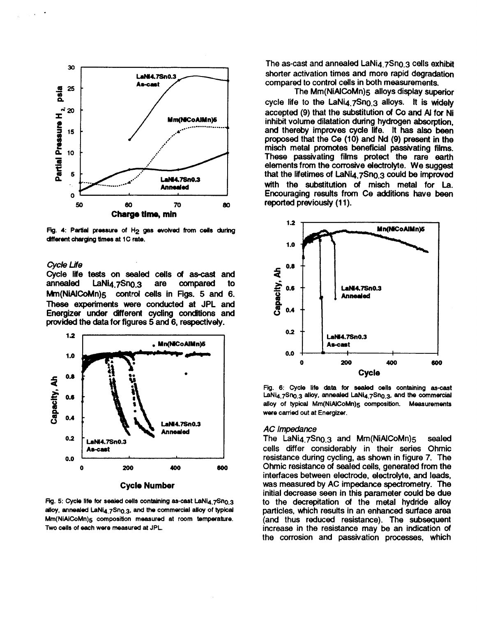

Fig. 4: Partial pressure of H<sub>2</sub> gas evolved from cells during different charging times at 1C rate.

#### *cycle Life*

**Cycle life tests on sealed cells d ascasf and**  LaNi<sub>4.7</sub>Sn<sub>0.3</sub> **Mm(NiAICoMn)<sub>5</sub>** control cells in Figs. 5 and 6. These **experiments were conducted at JPL and Energizer under different cycling** *conditions* **and provided the data for figures 5 and** *6,* **respectively.** 



**Fig. 5: Cycle life for sealed cells containing as-cast LaNi4.7Sno.3** alloy, annealed LaNi<sub>4.7</sub>Sn<sub>0.3</sub>, and the commercial alloy of typical **Mm(NiAiCoMn)<sub>5</sub> composition measured at room temperature. Two wlls of each were measured at JPL.** 

The as-cast and annealed LaNia 7Sno.3 cells exhibit **shorter activation times and more rapid degradation compared to control cells in both measurements.** 

**The Mm(NiAICoMn)5 alloys display superior cycle life to the LaNi4.7Sn0.3 alloys.** It **is widely accepted (9) that the substitution** *of Co* **and AI for Ni inhibit volume dilatation during hydrogen absorption,**  and thereby improves cycle life. It has also been **proposed that the Ce (10) and Nd (9) present in the misch metal promotes beneficial passivating films. These passivating films protect the rare earth elements from the corrosive electrolyte. We suggest**  that the lifetimes of LaNi<sub>4.7</sub>Sn<sub>0.3</sub> could be improved **with the substitution** *of* **misch metal for** La. **Encouraging resutts from Ce additions have been reported previously (1 1).** 



**Fig. 6: Cycle ife data** for *sealed* **cells containing as-cast**  LaNi<sub>4.7</sub>Sn<sub>0.3</sub> alloy, annealed LaNi<sub>4.7</sub>Sn<sub>0.3</sub>, and the commercial alloy of typical Mm(NiAICoMn)<sub>5</sub> composition. Measurements **were carried out at Energizer.** 

#### *AC Impedance*

**The LaNi4.7Sn0.3 and Mm(NiAICoMn)5 sealed cells differ considerably in their series Ohmic resistance during cycling, as** shown **in figure 7. The Ohmic resistance** *of* **sealed cells, generated from the interfaces between electrode, electrolyte, and leads, was measured by AC impedance spectrometry. The initial decrease seen in this parameter could be due to the decrepitation** *of* **the metal hydride alloy particles, which results in an enhanced surface area (and thus reduced resistance). The subsequent increase in the resistance may be an indication** *of*  **the corrosion and passivation processes, which**